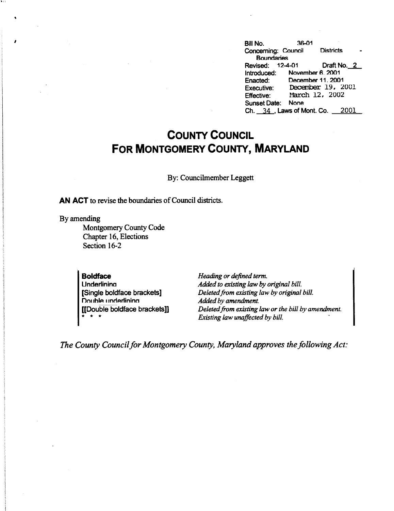|  |  | Bill No.            | $36 - 01$                    |                   |  |
|--|--|---------------------|------------------------------|-------------------|--|
|  |  | Concerning: Council |                              | <b>Districts</b>  |  |
|  |  | <b>Boundaries</b>   |                              |                   |  |
|  |  | Revised:            | 12-4-01                      | Draft No. 2       |  |
|  |  | Introduced:         | November 6, 2001             |                   |  |
|  |  | Enacted:            | December 11, 2001            |                   |  |
|  |  | <b>Executive:</b>   |                              | December 19, 2001 |  |
|  |  | <b>Effective:</b>   |                              | March 12, 2002    |  |
|  |  | <b>Sunset Date:</b> | <b>None</b>                  |                   |  |
|  |  |                     | Ch. $34$ , Laws of Mont. Co. | 2001              |  |

## **COUNTY COUNCIL FOR MONTGOMERY COUNTY, MARYLAND**

By: Councilmember Leggett

**AN ACT** to revise the boundaries of Council districts.

By amending

 $\blacksquare$ 

Montgomery County Code Chapter 16, Elections Section 16-2

**Boldface Underlinina** [Single boldface brackets] **Double underlining** [[Double boldface brackets]] \* \* \*

*Heading or defined term. Added to existing law by original bill. Deleted from existing law by original bill. Added by amendment. Deleted from existing law or the bill by amendment. Existing law unaffected by bill.* 

*The County Council for Montgomery County, Maryland approves the following Act:*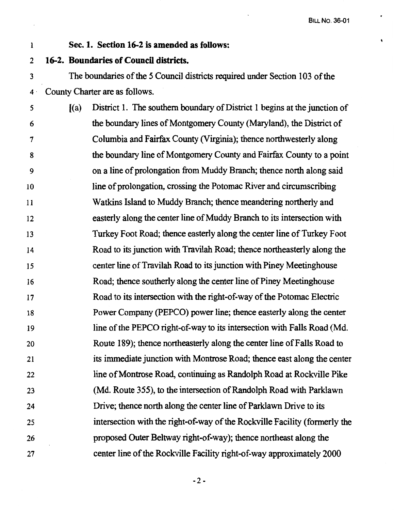## I **Sec. 1. Section 16-2 is amended as follows:**

2 **16-2. Boundaries of Council districts.** 

3 The boundaries of the *5* Council districts required under Section 103 of the 4 · County Charter are as follows.

5 6 7 8 9 IO 11 12 13 14 15 16 17 18 19 20 21 22 23 24 25 26 27  $[(a)$  District 1. The southern boundary of District 1 begins at the junction of the boundary lines of Montgomery County (Maryland), the District of Columbia and Fairfax County (Virginia); thence northwesterly along the boundary line of Montgomery County and Fairfax County to a point on a line of prolongation from Muddy Branch; thence north along said line of prolongation, crossing the Potomac River and circumscribing Watkins Island to Muddy Branch; thence meandering northerly and easterly along the center line of Muddy Branch to its intersection with Turkey Foot Road; thence easterly along the center line of Turkey Foot Road to its junction with Travilah Road; thence northeasterly along the center line of Travilah Road to its junction with Piney Meetinghouse Road; thence southerly along the center line of Piney Meetinghouse Road to its intersection with the right-of-way of the Potomac Electric Power Company (PEPCO) power line; thence easterly along the center line of the PEPCO right-of-way to its intersection with Falls Road (Md. Route 189); thence northeasterly along the center line of Falls Road to its immediate junction with Montrose Road; thence east along the center line of Montrose Road, continuing as Randolph Road at Rockville Pike (Md. Route 355), to the intersection of Randolph Road with Parklawn Drive; thence north along the center line of Parklawn Drive to its intersection with the right-of-way of the Rockville Facility (formerly the proposed Outer Beltway right-of-way); thence northeast along the center line of the Rockville Facility right-of-way approximately 2000

 $-2-$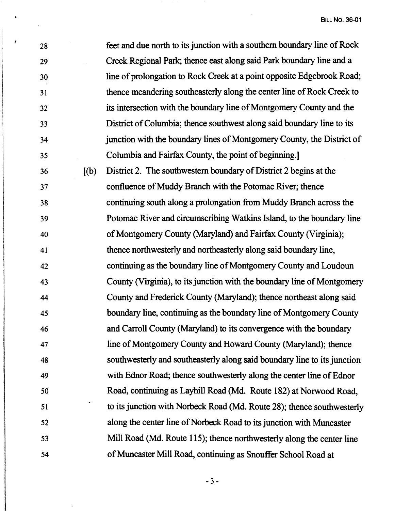l.

| 28 |       | feet and due north to its junction with a southern boundary line of Rock |
|----|-------|--------------------------------------------------------------------------|
| 29 |       | Creek Regional Park; thence east along said Park boundary line and a     |
| 30 |       | line of prolongation to Rock Creek at a point opposite Edgebrook Road;   |
| 31 |       | thence meandering southeasterly along the center line of Rock Creek to   |
| 32 |       | its intersection with the boundary line of Montgomery County and the     |
| 33 |       | District of Columbia; thence southwest along said boundary line to its   |
| 34 |       | junction with the boundary lines of Montgomery County, the District of   |
| 35 |       | Columbia and Fairfax County, the point of beginning.]                    |
| 36 | [(b)] | District 2. The southwestern boundary of District 2 begins at the        |
| 37 |       | confluence of Muddy Branch with the Potomac River; thence                |
| 38 |       | continuing south along a prolongation from Muddy Branch across the       |
| 39 |       | Potomac River and circumscribing Watkins Island, to the boundary line    |
| 40 |       | of Montgomery County (Maryland) and Fairfax County (Virginia);           |
| 41 |       | thence northwesterly and northeasterly along said boundary line,         |
| 42 |       | continuing as the boundary line of Montgomery County and Loudoun         |
| 43 |       | County (Virginia), to its junction with the boundary line of Montgomery  |
| 44 |       | County and Frederick County (Maryland); thence northeast along said      |
| 45 |       | boundary line, continuing as the boundary line of Montgomery County      |
| 46 |       | and Carroll County (Maryland) to its convergence with the boundary       |
| 47 |       | line of Montgomery County and Howard County (Maryland); thence           |
| 48 |       | southwesterly and southeasterly along said boundary line to its junction |
| 49 |       | with Ednor Road; thence southwesterly along the center line of Ednor     |
| 50 |       | Road, continuing as Layhill Road (Md. Route 182) at Norwood Road,        |
| 51 |       | to its junction with Norbeck Road (Md. Route 28); thence southwesterly   |
| 52 |       | along the center line of Norbeck Road to its junction with Muncaster     |
| 53 |       | Mill Road (Md. Route 115); thence northwesterly along the center line    |
| 54 |       | of Muncaster Mill Road, continuing as Snouffer School Road at            |
|    |       |                                                                          |

*I* 

 $\mathcal{L}^{\text{max}}_{\text{max}}$ 

 $\bar{\beta}$ 

-3-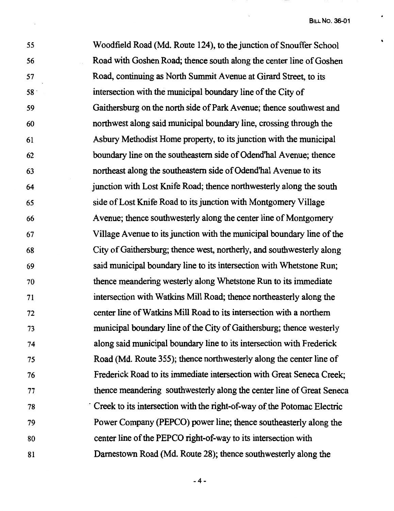55 56 57 58 · 59 60 61 62 63 64 65 66 67 68 69 70 71 72 73 74 75 76 77 78 79 80 81 Woodfield Road (Md. Route 124), to the junction of Snouffer School Road with Goshen Road; thence south along the center line of Goshen Road, continuing as North Summit Avenue at Girard Street, to its intersection with the municipal boundary line of the City of Gaithersburg on the north side of Park Avenue; thence southwest and northwest along said municipal boundary line, crossing through the Asbury Methodist Home property, to its junction with the municipal boundary line on the southeastern side of Odend'hal Avenue; thence northeast along the southeastern side of Odend'hal Avenue to its junction with Lost Knife Road; thence northwesterly along the south side of Lost Knife Road to its junction with Montgomery Village Avenue; thence southwesterly along the center line of Montgomery Village Avenue to its junction with the municipal boundary line of the City of Gaithersburg; thence west, northerly, and southwesterly along said municipal boundary line to its intersection with Whetstone Run; thence meandering westerly along Whetstone Run to its immediate intersection with Watkins Mill Road; thence northeasterly along the center line of Watkins Mill Road to its intersection with a northern municipal boundary line of the City of Gaithersburg; thence westerly along said municipal boundary line to its intersection with Frederick Road (Md. Route 355); thence northwesterly along the center line of Frederick Road to its immediate intersection with Great Seneca Creek; thence meandering southwesterly along the center line of Great Seneca Creek to its intersection with the right-of-way of the Potomac Electric Power Company (PEPCO) power line; thence southeasterly along the center line of the PEPCO right-of-way to its intersection with Damestown Road (Md. Route 28); thence southwesterly along the

-4-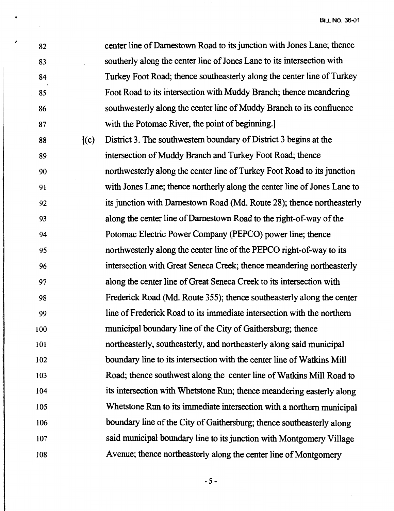82 83 84 85 86 87 88 89 90 91 92 93 94 95 96 97 98 99 100 101 102 103 104 105 106 107 108  $(c)$ center line of Damestown Road to its junction with Jones Lane; thence southerly along the center line of Jones Lane to its intersection with Turkey Foot Road; thence southeasterly along the center line of Turkey Foot Road to its intersection with Muddy Branch; thence meandering southwesterly along the center line of Muddy Branch to its confluence with the Potomac River, the point of beginning. District 3. The southwestern boundary of District 3 begins at the intersection of Muddy Branch and Turkey Foot Road; thence northwesterly along the center line of Turkey Foot Road to its junction with Jones Lane; thence northerly along the center line of Jones Lane to its junction with Damestown Road (Md. Route 28); thence northeasterly along the center line of Darnestown Road to the right-of-way of the Potomac Electric Power Company (PEPCO) power line; thence northwesterly along the center line of the PEPCO right-of-way to its intersection with Great Seneca Creek; thence meandering northeasterly along the center line of Great Seneca Creek to its intersection with Frederick Road (Md. Route 355); thence southeasterly along the center line of Frederick Road to its immediate intersection with the northern municipal boundary line of the City of Gaithersburg; thence northeasterly, southeasterly, and northeasterly along said municipal boundary line to its intersection with the center line of Watkins Mill Road; thence southwest along the center line of Watkins Mill Road to its intersection with Whetstone Run; thence meandering easterly along Whetstone Run to its immediate intersection with a northern municipal boundary line of the City of Gaithersburg; thence southeasterly along said municipal boundary line to its junction with Montgomery Village A venue; thence northeasterly along the center line of Montgomery

*I* 

-5-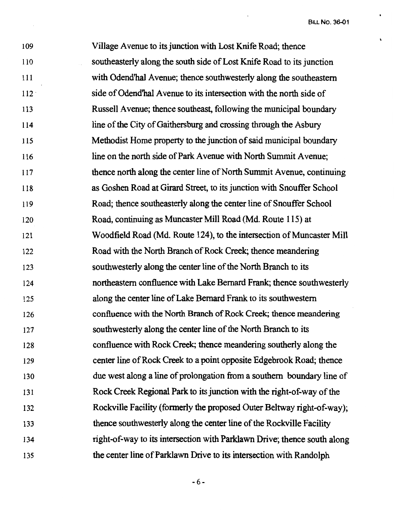109 110 111 112· 113 114 115 116 117 118 119 120 121 122 123 124 125 126 127 128 129 130 131 132 133 134 135 Village Avenue to its junction with Lost Knife Road; thence southeasterly along the south side of Lost Knife Road to its junction with Odend'hal Avenue; thence southwesterly along the southeastern side of Odend'hal Avenue to its intersection with the north side of Russell Avenue; thence southeast, following the municipal boundary line of the City of Gaithersburg and crossing through the Asbury Methodist Home property to the junction of said municipal boundary line on the north side of Park Avenue with North Summit Avenue; thence north along the center line of North Summit Avenue, continuing as Goshen Road at Girard Street, to its junction with Snouffer School Road; thence southeasterly along the center line of Snouffer School Road, continuing as Muncaster Mill Road (Md. Route 115) at Woodfield Road (Md. Route 124), to the intersection of Muncaster Mill Road with the North Branch of Rock Creek; thence meandering southwesterly along the center line of the North Branch to its northeastern confluence with Lake Bernard Frank; thence southwesterly along the center line of Lake Bernard Frank to its southwestern confluence with the North Branch of Rock Creek; thence meandering southwesterly along the center line of the North Branch to its confluence with Rock Creek; thence meandering southerly along the center line of Rock Creek to a point opposite Edgebrook Road; thence due west along a line of prolongation from a southern boundary line of Rock Creek Regional Park to its junction with the right-of-way of the Rockville Facility (formerly the proposed Outer Beltway right-of-way); thence southwesterly along the center line of the Rockville Facility right-of-way to its intersection with Parklawn Drive; thence south along the center line of Parklawn Drive to its intersection with Randolph

-6-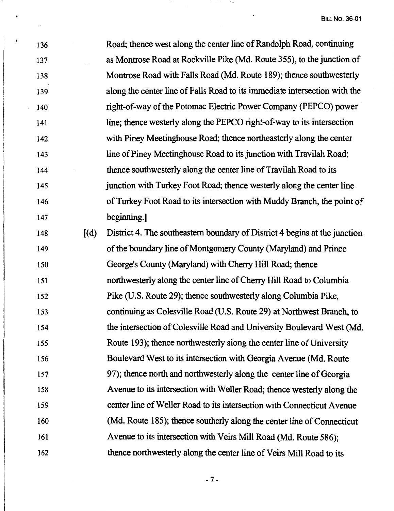$\ddot{\phantom{0}}$ 

| 136 |       | Road; thence west along the center line of Randolph Road, continuing       |
|-----|-------|----------------------------------------------------------------------------|
| 137 |       | as Montrose Road at Rockville Pike (Md. Route 355), to the junction of     |
| 138 |       | Montrose Road with Falls Road (Md. Route 189); thence southwesterly        |
| 139 |       | along the center line of Falls Road to its immediate intersection with the |
| 140 |       | right-of-way of the Potomac Electric Power Company (PEPCO) power           |
| 141 |       | line; thence westerly along the PEPCO right-of-way to its intersection     |
| 142 |       | with Piney Meetinghouse Road; thence northeasterly along the center        |
| 143 |       | line of Piney Meetinghouse Road to its junction with Travilah Road;        |
| 144 |       | thence southwesterly along the center line of Travilah Road to its         |
| 145 |       | junction with Turkey Foot Road; thence westerly along the center line      |
| 146 |       | of Turkey Foot Road to its intersection with Muddy Branch, the point of    |
| 147 |       | beginning.                                                                 |
| 148 | [(d)] | District 4. The southeastern boundary of District 4 begins at the junction |
| 149 |       | of the boundary line of Montgomery County (Maryland) and Prince            |
| 150 |       | George's County (Maryland) with Cherry Hill Road; thence                   |
| 151 |       | northwesterly along the center line of Cherry Hill Road to Columbia        |
| 152 |       | Pike (U.S. Route 29); thence southwesterly along Columbia Pike,            |
| 153 |       | continuing as Colesville Road (U.S. Route 29) at Northwest Branch, to      |
| 154 |       | the intersection of Colesville Road and University Boulevard West (Md.     |
| 155 |       | Route 193); thence northwesterly along the center line of University       |
| 156 |       | Boulevard West to its intersection with Georgia Avenue (Md. Route          |
| 157 |       | 97); thence north and northwesterly along the center line of Georgia       |
| 158 |       | Avenue to its intersection with Weller Road; thence westerly along the     |
| 159 |       | center line of Weller Road to its intersection with Connecticut Avenue     |
| 160 |       | (Md. Route 185); thence southerly along the center line of Connecticut     |
| 161 |       | Avenue to its intersection with Veirs Mill Road (Md. Route 586);           |
| 162 |       | thence northwesterly along the center line of Veirs Mill Road to its       |
|     |       |                                                                            |

*I* 

 $\overline{\phantom{a}}$ 

-7-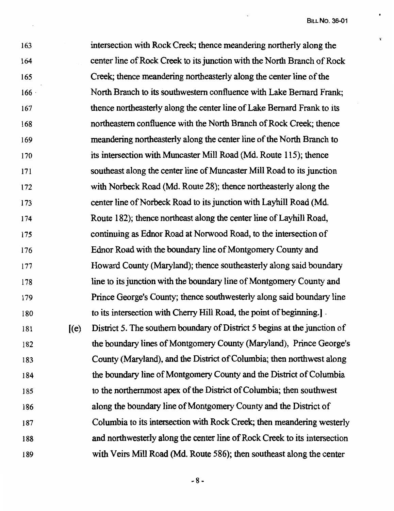$\mathbf{r}$ 

163 164 165 166 · 167 168 169 170 171 172 173 174 175 176 177 178 179 180 181 182 183 184 185 186 187 188 189  $I(e)$ intersection with Rock Creek; thence meandering northerly along the center line of Rock Creek to its junction with the North Branch of Rock Creek; thence meandering northeasterly along the center line of the North Branch to its southwestern confluence with Lake Bernard Frank; thence northeasterly along the center line of Lake Bernard Frank to its northeastern confluence with the North Branch of Rock Creek; thence meandering northeasterly along the center line of the North Branch to its intersection with Muncaster Mill Road (Md. Route 115); thence southeast along the center line of Muncaster Mill Road to its junction with Norbeck Road (Md. Route 28); thence northeasterly along the center line of Norbeck Road to its junction with Layhill Road (Md. Route 182); thence northeast along the center line of Layhill Road, continuing as Ednor Road at Norwood Road, to the intersection of Ednor Road with the boundary line of Montgomery County and Howard County (Maryland); thence southeasterly along said boundary line to its junction with the boundary line of Montgomery County and Prince George's County; thence southwesterly along said boundary line to its intersection with Cherry Hill Road, the point of beginning.] . District 5. The southern boundary of District 5 begins at the junction of the boundary lines of Montgomery County (Maryland), Prince George's County (Maryland), and the District of Columbia; then northwest along the boundary line of Montgomery County and the District of Columbia to the northernmost apex of the District of Columbia; then southwest along the boundary line of Montgomery County and the District of Columbia to its intersection with Rock Creek; then meandering westerly and northwesterly along the center line of Rock Creek to its intersection with Veirs Mill Road (Md. Route 586); then southeast along the center

-8-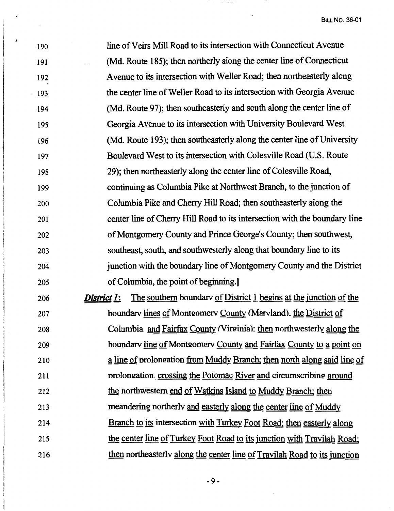| 190     | line of Veirs Mill Road to its intersection with Connecticut Avenue                     |
|---------|-----------------------------------------------------------------------------------------|
| 191     | (Md. Route 185); then northerly along the center line of Connecticut                    |
| 192     | Avenue to its intersection with Weller Road; then northeasterly along                   |
| $193 -$ | the center line of Weller Road to its intersection with Georgia Avenue                  |
| 194     | (Md. Route 97); then southeasterly and south along the center line of                   |
| 195     | Georgia Avenue to its intersection with University Boulevard West                       |
| 196     | (Md. Route 193); then southeasterly along the center line of University                 |
| 197     | Boulevard West to its intersection with Colesville Road (U.S. Route                     |
| 198     | 29); then northeasterly along the center line of Colesville Road,                       |
| 199     | continuing as Columbia Pike at Northwest Branch, to the junction of                     |
| 200     | Columbia Pike and Cherry Hill Road; then southeasterly along the                        |
| 201     | center line of Cherry Hill Road to its intersection with the boundary line              |
| 202     | of Montgomery County and Prince George's County; then southwest,                        |
| 203     | southeast, south, and southwesterly along that boundary line to its                     |
| 204     | junction with the boundary line of Montgomery County and the District                   |
| 205     | of Columbia, the point of beginning.]                                                   |
| 206     | The southern boundary of District 1 begins at the junction of the<br><u>District 1:</u> |
| 207     | boundary lines of Montgomery County (Maryland). the District of                         |
| 208     | Columbia. and Fairfax County (Virginia): then northwesterly along the                   |
| 209     | boundary line of Montgomery County and Fairfax County to a point on                     |
| 210     | a line of prolongation from Muddy Branch; then north along said line of                 |
| 211     | prolongation crossing the Potomac River and circumscribing around                       |
| 212     | the northwestern end of Watkins Island to Muddy Branch; then                            |
| 213     | meandering northerly and easterly along the center line of Muddy                        |
| 214     | Branch to its intersection with Turkey Foot Road; then easterly along                   |
| 215     | the center line of Turkey Foot Road to its junction with Travilah Road;                 |
| 216     | then northeasterly along the center line of Travilah Road to its junction               |

 $\partial_t \psi_{\alpha}(x)$  ,  $\partial_t \psi_{\alpha}(x)$  ,  $\partial_t \psi_{\alpha}(x)$ 

 $\downarrow$ 

 $\pmb{\cdot}$ 

 $\mathcal{L}_{\mathcal{A}}$ 

 $\ddot{\phantom{a}}$ 

-9-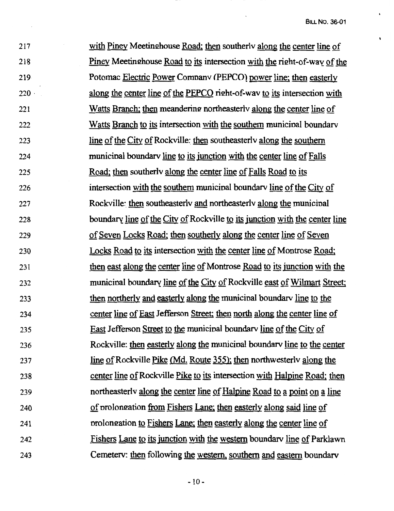ń

217 218 219 220 · 221 222 223 224 225 226 227 228 229 230 231 232 233 234 235 236 237 238 239 240 241 242 243 with Piney Meetinghouse Road; then southerly along the center line of Piney Meetinghouse Road to its intersection with the right-of-way of the Potomac Electric Power Comnanv (PEPCO) power line; then easterly along the center line of the PEPCO right-of-way to its intersection with Watts Branch; then meandering northeasterlv along the center line of Watts Branch to its intersection with the southern municinal boundarv line of the City of Rockville: then southeasterly along the southern municinal boundarv line to its junction with the center line of Falls Road; then southerlv along the center line of Falls Road to its intersection with the southern municinal boundarv line of the City of Rockville: then southeasterly and northeasterly along the municipal boundary line of the City of Rockville to its junction with the center line of Seven Locks Road; then southerly along the center line of Seven Locks Road to its intersection with the center line of Montrose Road; then east along the center line of Montrose Road to its junction with the municipal boundary line of the City of Rockville east of Wilmart Street; then northerly and easterly along the municinal boundarv line to the center line of East Jefferson Street; then north along the center line of East Jefferson Street to the municinal boundarv line of the City of Rockville: then easterly along the municinal boundarv line to the center line of Rockville Pike (Md. Route 355); then northwesterly along the center line of Rockville Pike to its intersection with Halpine Road; then northeasterly along the center line of Halpine Road to a point on a line of prolongation from Fishers Lane; then easterly along said line of prolongation to Fishers Lane; then easterly along the center line of Fishers Lane to its junction with the western boundarv line of Parklawn Cemeterv: then following the western, southern and eastern boundarv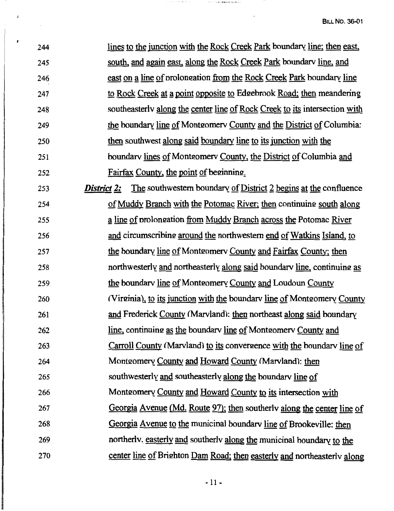| 244 | lines to the junction with the Rock Creek Park boundary line; then east,               |
|-----|----------------------------------------------------------------------------------------|
| 245 | south, and again east, along the Rock Creek Park boundary line, and                    |
| 246 | east on a line of prolongation from the Rock Creek Park boundary line                  |
| 247 | to Rock Creek at a point opposite to Edgebrook Road; then meandering                   |
| 248 | southeasterly along the center line of Rock Creek to its intersection with             |
| 249 | the boundary line of Montgomery County and the District of Columbia:                   |
| 250 | then southwest along said boundary line to its junction with the                       |
| 251 | boundary lines of Montgomery County, the District of Columbia and                      |
| 252 | Fairfax County, the point of beginning.                                                |
| 253 | The southwestern boundary of District 2 begins at the confluence<br><b>District 2:</b> |
| 254 | of Muddy Branch with the Potomac River; then continuing south along                    |
| 255 | a line of prolongation from Muddy Branch across the Potomac River                      |
| 256 | and circumscribing around the northwestern end of Watkins Island, to                   |
| 257 | <u>the boundary line of Montgomery County and Fairfax County; then</u>                 |
| 258 | northwesterly and northeasterly along said boundary line, continuing as                |
| 259 | the boundary line of Montgomery County and Loudoun County                              |
| 260 | (Virginia), to its junction with the boundary line of Montgomery County                |
| 261 | and Frederick County (Marvland): then northeast along said boundary                    |
| 262 | line, continuing as the boundary line of Montgomery County and                         |
| 263 | Carroll County (Marvland) to its convergence with the boundary line of                 |
| 264 | Montgomery County and Howard County (Marvland): then                                   |
| 265 | southwesterly and southeasterly along the boundary line of                             |
| 266 | Montgomery County and Howard County to its intersection with                           |
| 267 | Georgia Avenue (Md. Route 97); then southerly along the center line of                 |
| 268 | Georgia Avenue to the municipal boundary line of Brookeville: then                     |
| 269 | northerly, easterly and southerly along the municipal boundary to the                  |
| 270 | center line of Brighton Dam Road; then easterly and northeasterly along                |

 $\mathcal{J}=\mathcal{J}(\mathbf{r})$  , and the effective contract of the contract of the subset of the set of  $\mathcal{J}(\mathbf{r})$ 

 $\downarrow$ 

 $\overline{ }$ 

 $\frac{1}{2}$  ,  $\frac{1}{2}$ 

 $\ddot{\phantom{0}}$ 

- 11 -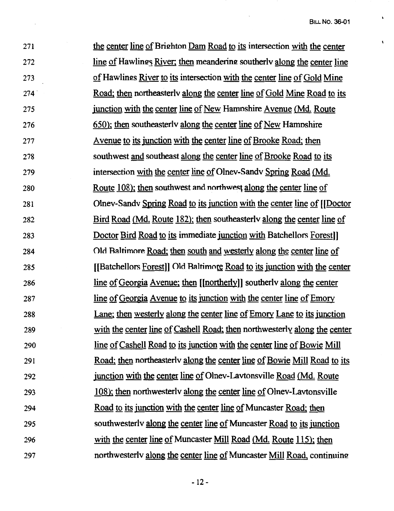$\sqrt{2}$ 

 $\mathbf{t}$ 

271 272 273 274. 275 276 277 278 279 280 281 282 283 284 285 286 287 288 289 290 291 292 293 294 295 296 297 the center line of Brighton Dam Road to its intersection with the center line of Hawlings River; then meandering southerly along the center line of Hawlings River to its intersection with the center line of Gold Mine Road; then northeasterlv along the center line of Gold Mine Road to its junction with the center line of New Hamnshire Avenue (Md. Route 650); then southeasterlv along the center line of New Hamnshire Avenue to its junction with the center line of Brooke Road; then southwest and southeast along the center line of Brooke Road to its intersection with the center line of Olnev-Sandv Spring Road (Md. Route 108); then southwest and northwest along the center line of Olnev-Sandv Spring Road to its junction with the center line of [[Doctor Bird Road (Md. Route 182); then southeasterlv along the center line of Doctor Bird Road to its immediate junction with Batchellors Forest II Old Raltimore Road; then south and westerly along the center line of [[Batchellors Forest]] Old Baltimore Road to its junction with the center line of Georgia Avenue; then [lnortherlyll southerlv along the center line of Georgia Avenue to its junction with the center line of Emory Lane; then westerly along the center line of Emory Lane to its junction with the center line of Cashell Road; then northwesterly along the center line of Cashell Road to its junction with the center line of Bowie Mill Road; then northeasterlv along the center line of Bowie Mill Road to its junction with the center line of Olnev-Lavtonsville Road (Md. Route 108); then northwesterly along the center line of Olney-Lavtonsville Road to its junction with the center line of Muncaster Road; then southwesterlv along the center line of Muncaster Road to its junction with the center line of Muncaster Mill Road (Md. Route 115); then northwesterly along the center line of Muncaster Mill Road, continuing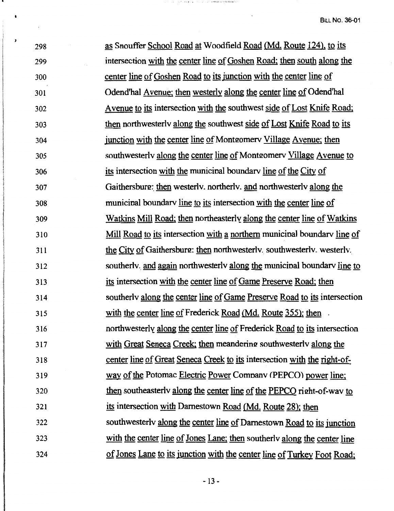$\frac{1}{298}$ 299 300 301 302 303 304 305 306 307 308 309 310 311 312 313 314 315 316 317 318 319 320 321 322 323 324 as Snouffer School Road at Woodfield Road {Md. Route 124), to its intersection with the center line of Goshen Road; then south along the center line of Goshen Road to its junction with the center line of Odend'hal Avenue; then westerly along the center line of Odend'hal A venue to its intersection with the southwest side of Lost Knife Road; then northwesterlv along the southwest side of Lost Knife Road to its junction with the center line of Montgomery Village Avenue; then southwesterly along the center line of Montgomery Village Avenue to its intersection with the municinal boundarv line of the City of Gaithersburg: then westerly, northerly, and northwesterly along the municinal boundarv line to its intersection with the center line of Watkins Mill Road; then northeasterly along the center line of Watkins Mill Road to its intersection with a northern municipal boundary line of the City of Gaithersburg: then northwesterly. southwesterly. westerly. southerly, and again northwesterly along the municipal boundary line to its intersection with the center line of Game Preserve Road; then southerlv along the center line of Game Preserve Road to its intersection with the center line of Frederick Road (Md. Route 355); then northwesterly along the center line of Frederick Road to its intersection with Great Seneca Creek; then meandering southwesterly along the center line of Great Seneca Creek to its intersection with the right-ofway of the Potomac Electric Power Company (PEPCO) power line; then southeasterly along the center line of the PEPCO right-of-way to its intersection with Darnestown Road (Md. Route 28); then southwesterly along the center line of Darnestown Road to its junction with the center line of Jones Lane; then southerly along the center line of Jones Lane to its junction with the center line of Turkey Foot Road;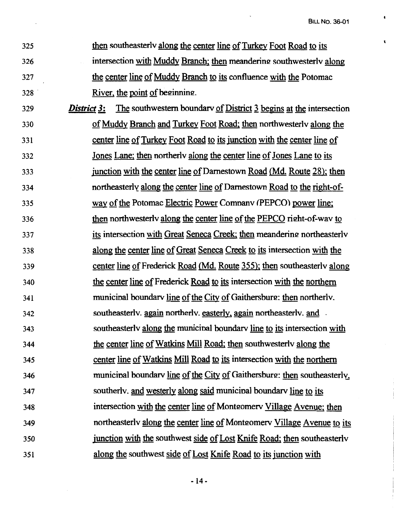$\mathbf{t}$ 

- 325 then southeasterlv along the center line of Turkey Foot Road to its 326 intersection with Muddy Branch; then meandering southwesterly along 327 the center line of Muddy Branch to its confluence with the Potomac 328 **River, the point of beginning.**
- <sup>329</sup>*District 3:* The southwestern boundarv of District J begins at the intersection 330 of Muddy Branch and Turkey Foot Road; then northwesterlv along the 331 center line of Turkey Foot Road to its junction with the center line of 332 Jones Lane; then northerlv along the center line of Jones Lane to its 333 junction with the center line of Darnestown Road (Md. Route 28); then 334 northeasterly along the center line of Darnestown Road to the right-of-335 way of the Potomac Electric Power Comnanv (PEPCO) power line; 336 then northwesterly along the center line of the PEPCO right-of-way to 337 its intersection with Great Seneca Creek; then meandering northeasterly 338 along the center line of Great Seneca Creek to its intersection with the 339 center line of Frederick Road {Md. Route 355); then southeasterlv along 340 the center line of Frederick Road to its intersection with the northern 341 municipal boundary line of the City of Gaithersburg: then northerly. 342 southeasterlv. again northerlv. easterly, again northeasterlv. and . 343 southeasterlv along the municinal boundarv line to its intersection with 344 the center line of Watkins Mill Road; then southwesterly along the 345 center line of Watkins Mill Road to its intersection with the northern 346 municipal boundary line of the City of Gaithersburg: then southeasterly, 347 southerlv. and westerly along said municinal boundarv line to its 348 intersection with the center line of Montgomery Village Avenue; then 349 northeasterly along the center line of Montgomery Village Avenue to its 350 junction with the southwest side of Lost Knife Road; then southeasterly 351 along the southwest side of Lost Knife Road to its junction with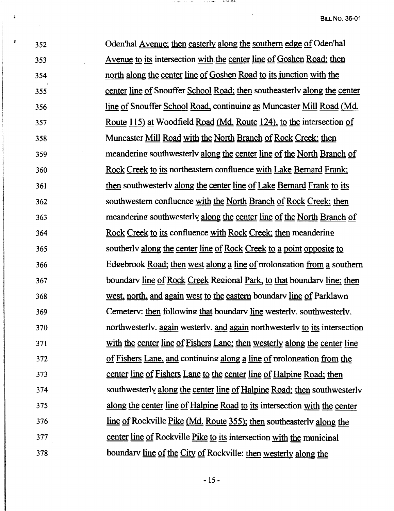$\frac{1}{352}$ 353 354 355 356 357 358 359 360 361 362 363 364 365 366 367  $\begin{array}{r} \n \stackrel{50}{\cancel{6}} \\
368 \\
\hline\n 369\n \end{array}$ I 369 370 371 372 373 374 375 376 377 378 Oden'hal Avenue; then easterly along the southern edge of Oden'hal A venue to its intersection with the center line of Goshen Road; then north along the center line of Goshen Road to its junction with the center line of Snouffer School Road; then southeasterlv along the center line of Snouffer School Road, continuing as Muncaster Mill Road (Md.) Route 115) at Woodfield Road (Md. Route 124), to the intersection of Muncaster Mill Road with the North Branch of Rock Creek; then meandering: southwesterlv along the center line of the North Branch of Rock Creek to its northeastern confluence with Lake Bernard Frank; then southwesterlv along the center line of Lake Bernard Frank to its southwestern confluence with the North Branch of Rock Creek; then meandering southwesterly along the center line of the North Branch of Rock Creek to its confluence with Rock Creek; then meandering southerly along the center line of Rock Creek to a point opposite to Edgebrook Road; then west along a line of prolongation from a southern boundary line of Rock Creek Regional Park, to that boundary line; then west, north, and again west to the eastern boundarv line of Parklawn Cemeterv: then following that boundary line westerly. southwesterly. northwesterlv. again westerlv. and again northwesterlv to its intersection with the center line of Fishers Lane; then westerly along the center line of Fishers Lane, and continuing along a line of prolongation from the center line of Fishers Lane to the center line of Halpine Road; then southwesterly along the center line of Halpine Road; then southwesterly along the center line of Halpine Road to its intersection with the center line of Rockville <u>Pike (Md. Route 355)</u>; then southeasterly along the center line of Rockville Pike to its intersection with the municipal<br>boundary line of the City of Rockville: then westerly along the

一天气 医细胞计 医人 海洋经济控制

i<br>List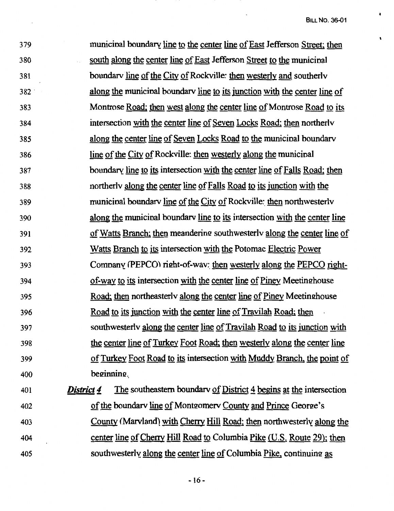$\ddot{\phantom{a}}$ 

 $\lambda$ 

 $\pmb{\mathcal{N}}$ 

| 380<br>south along the center line of East Jefferson Street to the municipal<br>381<br>boundary line of the City of Rockville: then westerly and southerly<br>along the municipal boundary line to its junction with the center line of<br>382<br>Montrose Road; then west along the center line of Montrose Road to its<br>383<br>intersection with the center line of Seven Locks Road; then northerly<br>384<br>along the center line of Seven Locks Road to the municipal boundary<br>385<br><u>line of the City of Rockville: then westerly along the municipal</u><br>386<br>boundary line to its intersection with the center line of Falls Road; then<br>387<br>northerly along the center line of Falls Road to its junction with the<br>388<br>municipal boundary line of the City of Rockville: then northwesterly<br>389<br>along the municipal boundary line to its intersection with the center line<br>390<br>of Watts Branch; then meandering southwesterly along the center line of<br>391<br>Watts Branch to its intersection with the Potomac Electric Power<br>392<br>Company (PEPCO) right-of-wav: then westerly along the PEPCO right-<br>393<br>of-way to its intersection with the center line of Piney Meetinghouse<br>394<br>Road; then northeasterly along the center line of Piney Meetinghouse<br>395<br><u>Road to its junction with the center line of Travilah Road; then</u><br>396<br>southwesterly along the center line of Travilah Road to its junction with<br>397<br>the center line of Turkey Foot Road; then westerly along the center line<br>398<br>of Turkey Foot Road to its intersection with Muddy Branch, the point of<br>399<br>beginning.<br>400<br>District 4<br>The southeastern boundary of District 4 begins at the intersection<br>401<br>of the boundary line of Montgomery County and Prince George's<br>402<br>County (Marvland) with Cherry Hill Road; then northwesterly along the<br>403<br>center line of Cherry Hill Road to Columbia Pike (U.S. Route 29); then<br>404 | 379 | municipal boundary line to the center line of East Jefferson Street; then |
|----------------------------------------------------------------------------------------------------------------------------------------------------------------------------------------------------------------------------------------------------------------------------------------------------------------------------------------------------------------------------------------------------------------------------------------------------------------------------------------------------------------------------------------------------------------------------------------------------------------------------------------------------------------------------------------------------------------------------------------------------------------------------------------------------------------------------------------------------------------------------------------------------------------------------------------------------------------------------------------------------------------------------------------------------------------------------------------------------------------------------------------------------------------------------------------------------------------------------------------------------------------------------------------------------------------------------------------------------------------------------------------------------------------------------------------------------------------------------------------------------------------------------------------------------------------------------------------------------------------------------------------------------------------------------------------------------------------------------------------------------------------------------------------------------------------------------------------------------------------------------------------------------------------------------------------------------------------------------------------------------------------------------------------|-----|---------------------------------------------------------------------------|
|                                                                                                                                                                                                                                                                                                                                                                                                                                                                                                                                                                                                                                                                                                                                                                                                                                                                                                                                                                                                                                                                                                                                                                                                                                                                                                                                                                                                                                                                                                                                                                                                                                                                                                                                                                                                                                                                                                                                                                                                                                        |     |                                                                           |
|                                                                                                                                                                                                                                                                                                                                                                                                                                                                                                                                                                                                                                                                                                                                                                                                                                                                                                                                                                                                                                                                                                                                                                                                                                                                                                                                                                                                                                                                                                                                                                                                                                                                                                                                                                                                                                                                                                                                                                                                                                        |     |                                                                           |
|                                                                                                                                                                                                                                                                                                                                                                                                                                                                                                                                                                                                                                                                                                                                                                                                                                                                                                                                                                                                                                                                                                                                                                                                                                                                                                                                                                                                                                                                                                                                                                                                                                                                                                                                                                                                                                                                                                                                                                                                                                        |     |                                                                           |
|                                                                                                                                                                                                                                                                                                                                                                                                                                                                                                                                                                                                                                                                                                                                                                                                                                                                                                                                                                                                                                                                                                                                                                                                                                                                                                                                                                                                                                                                                                                                                                                                                                                                                                                                                                                                                                                                                                                                                                                                                                        |     |                                                                           |
|                                                                                                                                                                                                                                                                                                                                                                                                                                                                                                                                                                                                                                                                                                                                                                                                                                                                                                                                                                                                                                                                                                                                                                                                                                                                                                                                                                                                                                                                                                                                                                                                                                                                                                                                                                                                                                                                                                                                                                                                                                        |     |                                                                           |
|                                                                                                                                                                                                                                                                                                                                                                                                                                                                                                                                                                                                                                                                                                                                                                                                                                                                                                                                                                                                                                                                                                                                                                                                                                                                                                                                                                                                                                                                                                                                                                                                                                                                                                                                                                                                                                                                                                                                                                                                                                        |     |                                                                           |
|                                                                                                                                                                                                                                                                                                                                                                                                                                                                                                                                                                                                                                                                                                                                                                                                                                                                                                                                                                                                                                                                                                                                                                                                                                                                                                                                                                                                                                                                                                                                                                                                                                                                                                                                                                                                                                                                                                                                                                                                                                        |     |                                                                           |
|                                                                                                                                                                                                                                                                                                                                                                                                                                                                                                                                                                                                                                                                                                                                                                                                                                                                                                                                                                                                                                                                                                                                                                                                                                                                                                                                                                                                                                                                                                                                                                                                                                                                                                                                                                                                                                                                                                                                                                                                                                        |     |                                                                           |
|                                                                                                                                                                                                                                                                                                                                                                                                                                                                                                                                                                                                                                                                                                                                                                                                                                                                                                                                                                                                                                                                                                                                                                                                                                                                                                                                                                                                                                                                                                                                                                                                                                                                                                                                                                                                                                                                                                                                                                                                                                        |     |                                                                           |
|                                                                                                                                                                                                                                                                                                                                                                                                                                                                                                                                                                                                                                                                                                                                                                                                                                                                                                                                                                                                                                                                                                                                                                                                                                                                                                                                                                                                                                                                                                                                                                                                                                                                                                                                                                                                                                                                                                                                                                                                                                        |     |                                                                           |
|                                                                                                                                                                                                                                                                                                                                                                                                                                                                                                                                                                                                                                                                                                                                                                                                                                                                                                                                                                                                                                                                                                                                                                                                                                                                                                                                                                                                                                                                                                                                                                                                                                                                                                                                                                                                                                                                                                                                                                                                                                        |     |                                                                           |
|                                                                                                                                                                                                                                                                                                                                                                                                                                                                                                                                                                                                                                                                                                                                                                                                                                                                                                                                                                                                                                                                                                                                                                                                                                                                                                                                                                                                                                                                                                                                                                                                                                                                                                                                                                                                                                                                                                                                                                                                                                        |     |                                                                           |
|                                                                                                                                                                                                                                                                                                                                                                                                                                                                                                                                                                                                                                                                                                                                                                                                                                                                                                                                                                                                                                                                                                                                                                                                                                                                                                                                                                                                                                                                                                                                                                                                                                                                                                                                                                                                                                                                                                                                                                                                                                        |     |                                                                           |
|                                                                                                                                                                                                                                                                                                                                                                                                                                                                                                                                                                                                                                                                                                                                                                                                                                                                                                                                                                                                                                                                                                                                                                                                                                                                                                                                                                                                                                                                                                                                                                                                                                                                                                                                                                                                                                                                                                                                                                                                                                        |     |                                                                           |
|                                                                                                                                                                                                                                                                                                                                                                                                                                                                                                                                                                                                                                                                                                                                                                                                                                                                                                                                                                                                                                                                                                                                                                                                                                                                                                                                                                                                                                                                                                                                                                                                                                                                                                                                                                                                                                                                                                                                                                                                                                        |     |                                                                           |
|                                                                                                                                                                                                                                                                                                                                                                                                                                                                                                                                                                                                                                                                                                                                                                                                                                                                                                                                                                                                                                                                                                                                                                                                                                                                                                                                                                                                                                                                                                                                                                                                                                                                                                                                                                                                                                                                                                                                                                                                                                        |     |                                                                           |
|                                                                                                                                                                                                                                                                                                                                                                                                                                                                                                                                                                                                                                                                                                                                                                                                                                                                                                                                                                                                                                                                                                                                                                                                                                                                                                                                                                                                                                                                                                                                                                                                                                                                                                                                                                                                                                                                                                                                                                                                                                        |     |                                                                           |
|                                                                                                                                                                                                                                                                                                                                                                                                                                                                                                                                                                                                                                                                                                                                                                                                                                                                                                                                                                                                                                                                                                                                                                                                                                                                                                                                                                                                                                                                                                                                                                                                                                                                                                                                                                                                                                                                                                                                                                                                                                        |     |                                                                           |
|                                                                                                                                                                                                                                                                                                                                                                                                                                                                                                                                                                                                                                                                                                                                                                                                                                                                                                                                                                                                                                                                                                                                                                                                                                                                                                                                                                                                                                                                                                                                                                                                                                                                                                                                                                                                                                                                                                                                                                                                                                        |     |                                                                           |
|                                                                                                                                                                                                                                                                                                                                                                                                                                                                                                                                                                                                                                                                                                                                                                                                                                                                                                                                                                                                                                                                                                                                                                                                                                                                                                                                                                                                                                                                                                                                                                                                                                                                                                                                                                                                                                                                                                                                                                                                                                        |     |                                                                           |
|                                                                                                                                                                                                                                                                                                                                                                                                                                                                                                                                                                                                                                                                                                                                                                                                                                                                                                                                                                                                                                                                                                                                                                                                                                                                                                                                                                                                                                                                                                                                                                                                                                                                                                                                                                                                                                                                                                                                                                                                                                        |     |                                                                           |
|                                                                                                                                                                                                                                                                                                                                                                                                                                                                                                                                                                                                                                                                                                                                                                                                                                                                                                                                                                                                                                                                                                                                                                                                                                                                                                                                                                                                                                                                                                                                                                                                                                                                                                                                                                                                                                                                                                                                                                                                                                        |     |                                                                           |
|                                                                                                                                                                                                                                                                                                                                                                                                                                                                                                                                                                                                                                                                                                                                                                                                                                                                                                                                                                                                                                                                                                                                                                                                                                                                                                                                                                                                                                                                                                                                                                                                                                                                                                                                                                                                                                                                                                                                                                                                                                        |     |                                                                           |
|                                                                                                                                                                                                                                                                                                                                                                                                                                                                                                                                                                                                                                                                                                                                                                                                                                                                                                                                                                                                                                                                                                                                                                                                                                                                                                                                                                                                                                                                                                                                                                                                                                                                                                                                                                                                                                                                                                                                                                                                                                        |     |                                                                           |
|                                                                                                                                                                                                                                                                                                                                                                                                                                                                                                                                                                                                                                                                                                                                                                                                                                                                                                                                                                                                                                                                                                                                                                                                                                                                                                                                                                                                                                                                                                                                                                                                                                                                                                                                                                                                                                                                                                                                                                                                                                        |     |                                                                           |

 $\ddot{\phantom{0}}$ 

405 southwesterly along the center line of Columbia Pike, continuing as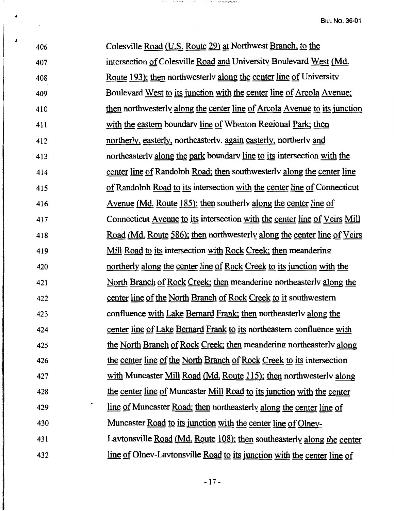| 406 | Colesville Road (U.S. Route 29) at Northwest Branch, to the                    |
|-----|--------------------------------------------------------------------------------|
| 407 | intersection of Colesville Road and University Boulevard West (Md.             |
| 408 | <u>Route 193); then northwesterly along the center line of</u> University      |
| 409 | Boulevard West to its junction with the center line of Arcola Avenue:          |
| 410 | then northwesterly along the center line of Arcola Avenue to its junction      |
| 411 | with the eastern boundary line of Wheaton Regional Park; then                  |
| 412 | northerly, easterly, northeasterly, again easterly, northerly and              |
| 413 | northeasterly along the park boundary line to its intersection with the        |
| 414 | center line of Randolph Road; then southwesterly along the center line         |
| 415 | of Randolph Road to its intersection with the center line of Connecticut       |
| 416 | <u>Avenue (Md. Route 185); then</u> southerly along the center line of         |
| 417 | Connecticut Avenue to its intersection with the center line of Veirs Mill      |
| 418 | <u>Road (Md. Route 586); then northwesterly along the center line of Veirs</u> |
| 419 | Mill Road to its intersection with Rock Creek; then meandering                 |
| 420 | northerly along the center line of Rock Creek to its junction with the         |
| 421 | North Branch of Rock Creek; then meandering northeasterly along the            |
| 422 | center line of the North Branch of Rock Creek to it southwestern               |
| 423 | confluence with Lake Bernard Frank; then northeasterly along the               |
| 424 | center line of Lake Bernard Frank to its northeastern confluence with          |
| 425 | the North Branch of Rock Creek; then meandering northeasterly along            |
| 426 | the center line of the North Branch of Rock Creek to its intersection          |
| 427 | with Muncaster Mill Road (Md. Route 115); then northwesterly along             |
| 428 | the center line of Muncaster Mill Road to its junction with the center         |
| 429 | line of Muncaster Road; then northeasterly along the center line of            |
| 430 | Muncaster Road to its junction with the center line of Olney-                  |
| 431 | Lavtonsville Road (Md. Route 108); then southeasterly along the center         |
| 432 | line of Olnev-Lavtonsville Road to its junction with the center line of        |

人物的人 化树脂树脂

THE DUMESTIC CONTRACTOR WAS

**J** 

 $\ddot{ }$ 

- 17 -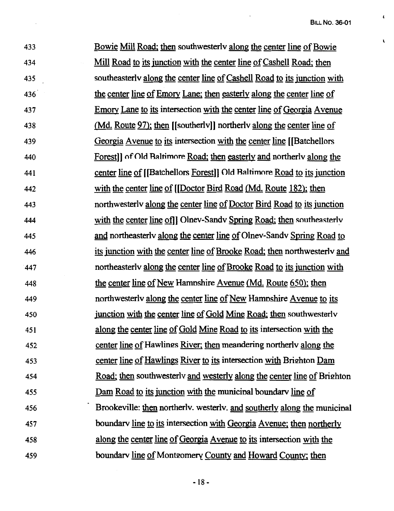$\pmb{\mathcal{L}}$ 

 $\mathbf{r}$ 

433 434 435 436 437 438 439 440 441 442 443 444 445 446 447 448 449 450 451 452 453 454 455 456 457 458 459 Bowie Mill Road; then southwesterlv along the center line of Bowie Mill Road to its junction with the center line of Cashell Road; then southeasterlv along the center line of Cashell Road to its junction with the center line of Emory Lane; then easterly along the center line of Emory Lane to its intersection with the center line of Georgia Avenue (Md. Route 97): then [[southerlv]] northerlv along the center line of Georgia A venue to its intersection with the center line [[Batchellors Forest]] of Old Raltimore Road; then easterly and northerlv along the center line of [[Batchellors Forest]) Old Raltimore Road to its junction with the center line of [[Doctor Bird Road (Md. Route 182); then northwesterlv along the center line of Doctor Bird Road to its junction with the center line of *I* Olnev-Sandy Spring Road; then southeasterly and northeasterlv along the center line of Olnev-Sandv Spring Road to its junction with the center line of Brooke Road; then northwesterlv and northeasterlv along the center line of Brooke Road to its junction with the center line of New Hamnshire Avenue (Md. Route 650); then northwesterlv along the center line of New Hamnshire A venue to its junction with the center line of Gold Mine Road; then southwesterlv along the center line of Gold Mine Road to its intersection with the center line of Hawlings River; then meandering northerly along the center line of Hawlings River to its intersection with Brighton Dam Road; then southwesterly and westerly along the center line of Brighton Dam Road to its junction with the municipal boundary line of Brookeville: then northerly, westerly, and southerly along the municinal boundarv line to its intersection with Georgia A venue; then northerly along the center line of Georgia A venue to its intersection with the boundary line of Montgomery County and Howard County; then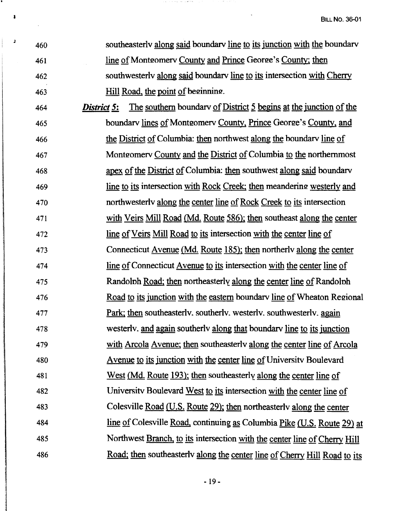| J | 460 | southeasterly along said boundary line to its junction with the boundary         |
|---|-----|----------------------------------------------------------------------------------|
|   | 461 | <u>line of</u> Montgomery County and Prince George's County; then                |
|   | 462 | southwesterly along said boundary line to its intersection with Cherry           |
|   | 463 | Hill Road, the point of beginning.                                               |
|   | 464 | The southern boundary of District 5 begins at the junction of the<br>District 5: |
|   | 465 | boundary lines of Montgomery County, Prince George's County, and                 |
|   | 466 | the District of Columbia: then northwest along the boundary line of              |
|   | 467 | Montgomery County and the District of Columbia to the northernmost               |
|   | 468 | apex of the District of Columbia: then southwest along said boundary             |
|   | 469 | line to its intersection with Rock Creek; then meandering westerly and           |
|   | 470 | northwesterly along the center line of Rock Creek to its intersection            |
|   | 471 | with Veirs Mill Road (Md. Route 586); then southeast along the center            |
|   | 472 | <u>line of Veirs Mill Road to its</u> intersection with the center line of       |
|   | 473 | Connecticut <u>Avenue</u> (Md. Route 185); then northerly along the center       |
|   | 474 | <u>line of Connecticut Avenue to its</u> intersection with the center line of    |
|   | 475 | Randolph Road; then northeasterly along the center line of Randolph              |
|   | 476 | Road to its junction with the eastern boundary line of Wheaton Regional          |
|   | 477 | Park; then southeasterly, southerly, westerly, southwesterly, again              |
|   | 478 | westerly. and again southerly along that boundary line to its junction           |
|   | 479 | with Arcola Avenue; then southeasterly along the center line of Arcola           |
|   | 480 | Avenue to its junction with the center line of University Boulevard              |
|   | 481 | West (Md. Route 193); then southeasterly along the center line of                |
|   | 482 | University Boulevard West to its intersection with the center line of            |
|   | 483 | Colesville Road (U.S. Route 29); then northeasterly along the center             |
|   | 484 | line of Colesville Road, continuing as Columbia Pike (U.S. Route 29) at          |
|   | 485 | Northwest Branch, to its intersection with the center line of Cherry Hill        |
|   | 486 | Road; then southeasterly along the center line of Cherry Hill Road to its        |
|   |     |                                                                                  |

 $\mathcal{A}^{\mathcal{A}}$  is the state of the  $\mathcal{A}^{\mathcal{A}}$  ,  $\mathcal{A}^{\mathcal{A}}$  ,  $\mathcal{A}^{\mathcal{A}}$  ,  $\mathcal{A}^{\mathcal{A}}$ 

 $\epsilon = \epsilon \tau = \epsilon/2$ 

 $\overline{a}$ 

٠

 $\mathbf{I}$ 

 $\ddot{\phantom{0}}$ 

- 19 -